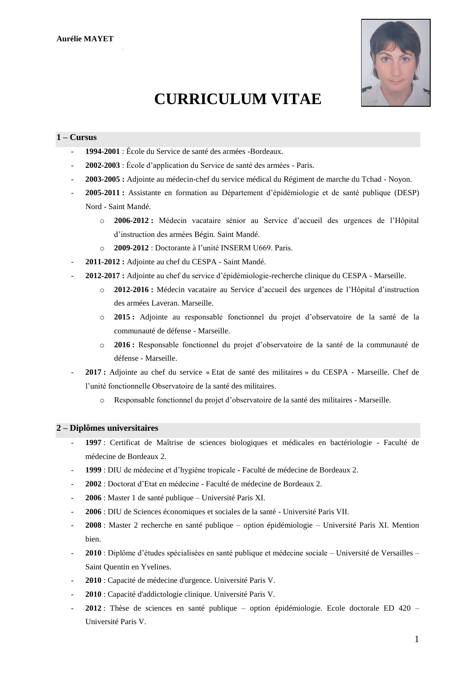

# **CURRICULUM VITAE**

# **1 – Cursus**

- **1994-2001** : École du Service de santé des armées -Bordeaux.
- **2002-2003** : École d'application du Service de santé des armées Paris.
- **2003-2005 :** Adjointe au médecin-chef du service médical du Régiment de marche du Tchad Noyon.
- **2005-2011 :** Assistante en formation au Département d'épidémiologie et de santé publique (DESP) Nord - Saint Mandé.
	- o **2006-2012 :** Médecin vacataire sénior au Service d'accueil des urgences de l'Hôpital d'instruction des armées Bégin. Saint Mandé.
	- o **2009-2012** : Doctorante à l'unité INSERM U669. Paris.
- **2011-2012 :** Adjointe au chef du CESPA Saint Mandé.
- **2012-2017 :** Adjointe au chef du service d'épidémiologie-recherche clinique du CESPA Marseille.
	- o **2012-2016 :** Médecin vacataire au Service d'accueil des urgences de l'Hôpital d'instruction des armées Laveran. Marseille.
	- o **2015 :** Adjointe au responsable fonctionnel du projet d'observatoire de la santé de la communauté de défense - Marseille.
	- o **2016 :** Responsable fonctionnel du projet d'observatoire de la santé de la communauté de défense - Marseille.
- **2017 :** Adjointe au chef du service « Etat de santé des militaires » du CESPA Marseille. Chef de l'unité fonctionnelle Observatoire de la santé des militaires.
	- o Responsable fonctionnel du projet d'observatoire de la santé des militaires Marseille.

### **2 – Diplômes universitaires**

- **1997** : Certificat de Maîtrise de sciences biologiques et médicales en bactériologie Faculté de médecine de Bordeaux 2.
- **1999** : DIU de médecine et d'hygiène tropicale **-** Faculté de médecine de Bordeaux 2.
- **2002** : Doctorat d'Etat en médecine Faculté de médecine de Bordeaux 2.
- **2006** : Master 1 de santé publique Université Paris XI.
- **2006** : DIU de Sciences économiques et sociales de la santé Université Paris VII.
- **2008** : Master 2 recherche en santé publique option épidémiologie Université Paris XI. Mention bien.
- **2010** : Diplôme d'études spécialisées en santé publique et médecine sociale Université de Versailles Saint Quentin en Yvelines.
- **2010** : Capacité de médecine d'urgence. Université Paris V.
- **2010** : Capacité d'addictologie clinique. Université Paris V.
- **2012** : Thèse de sciences en santé publique option épidémiologie. Ecole doctorale ED 420 Université Paris V.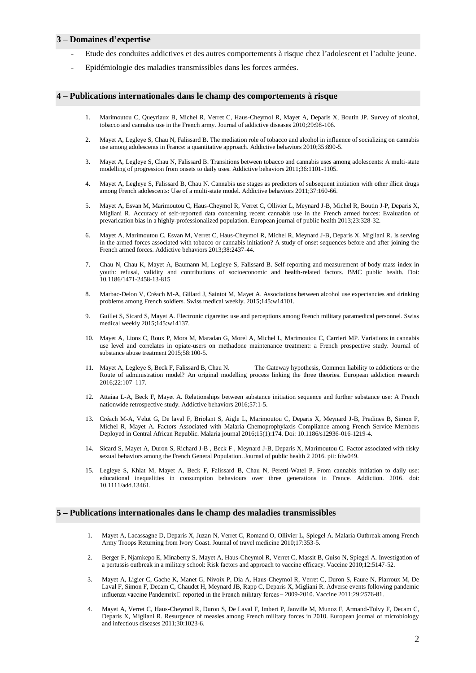#### **3 – Domaines d'expertise**

- Etude des conduites addictives et des autres comportements à risque chez l'adolescent et l'adulte jeune.
- Epidémiologie des maladies transmissibles dans les forces armées.

## **4 – Publications internationales dans le champ des comportements à risque**

- 1. Marimoutou C, Queyriaux B, Michel R, Verret C, Haus-Cheymol R, Mayet A, Deparis X, Boutin JP. Survey of alcohol, tobacco and cannabis use in the French army. Journal of addictive diseases 2010;29:98-106.
- 2. Mayet A, Legleye S, Chau N, Falissard B. The mediation role of tobacco and alcohol in influence of socializing on cannabis use among adolescents in France: a quantitative approach. Addictive behaviors 2010;35:890-5.
- 3. Mayet A, Legleye S, Chau N, Falissard B. Transitions between tobacco and cannabis uses among adolescents: A multi-state modelling of progression from onsets to daily uses. Addictive behaviors 2011;36:1101-1105.
- 4. Mayet A, Legleye S, Falissard B, Chau N. Cannabis use stages as predictors of subsequent initiation with other illicit drugs among French adolescents: Use of a multi-state model. Addictive behaviors 2011;37:160-66.
- 5. Mayet A, Esvan M, Marimoutou C, Haus-Cheymol R, Verret C, Ollivier L, Meynard J-B, Michel R, Boutin J-P, Deparis X, Migliani R. Accuracy of self-reported data concerning recent cannabis use in the French armed forces: Evaluation of prevarication bias in a highly-professionalized population. European journal of public health 2013;23:328-32.
- 6. Mayet A, Marimoutou C, Esvan M, Verret C, Haus-Cheymol R, Michel R, Meynard J-B, Deparis X, Migliani R. Is serving in the armed forces associated with tobacco or cannabis initiation? A study of onset sequences before and after joining the French armed forces. Addictive behaviors 2013;38:2437-44.
- 7. Chau N, Chau K, Mayet A, Baumann M, Legleye S, Falissard B. Self-reporting and measurement of body mass index in youth: refusal, validity and contributions of socioeconomic and health-related factors. BMC public health. Doi: 10.1186/1471-2458-13-815
- 8. Marbac-Delon V, Créach M-A, Gillard J, Saintot M, Mayet A. Associations between alcohol use expectancies and drinking problems among French soldiers. Swiss medical weekly. 2015;145:w14101.
- 9. Guillet S, Sicard S, Mayet A. Electronic cigarette: use and perceptions among French military paramedical personnel. Swiss medical weekly 2015;145:w14137.
- 10. Mayet A, Lions C, Roux P, Mora M, Maradan G, Morel A, Michel L, Marimoutou C, Carrieri MP. Variations in cannabis use level and correlates in opiate-users on methadone maintenance treatment: a French prospective study. Journal of substance abuse treatment 2015;58:100-5.
- 11. Mayet A, Legleye S, Beck F, Falissard B, Chau N. The Gateway hypothesis, Common liability to addictions or the Route of administration model? An original modelling process linking the three theories. European addiction research 2016;22:107–117.
- 12. Attaiaa L-A, Beck F, Mayet A. Relationships between substance initiation sequence and further substance use: A French nationwide retrospective study. Addictive behaviors 2016;57:1-5.
- 13. Créach M-A, Velut G, De laval F, Briolant S, Aigle L, Marimoutou C, Deparis X, Meynard J-B, Pradines B, Simon F, Michel R, Mayet A. Factors Associated with Malaria Chemoprophylaxis Compliance among French Service Members Deployed in Central African Republic. Malaria journal 2016;15(1):174. Doi: 10.1186/s12936-016-1219-4.
- 14. Sicard S, Mayet A, Duron S, Richard J-B , Beck F , Meynard J-B, Deparis X, Marimoutou C. Factor associated with risky sexual behaviors among the French General Population. Journal of public health 2 2016. pii: fdw049.
- 15. Legleye S, Khlat M, Mayet A, Beck F, Falissard B, Chau N, Peretti-Watel P. From cannabis initiation to daily use: educational inequalities in consumption behaviours over three generations in France. Addiction. 2016. doi: 10.1111/add.13461.

#### **5 – Publications internationales dans le champ des maladies transmissibles**

- 1. Mayet A, Lacassagne D, Deparis X, Juzan N, Verret C, Romand O, Ollivier L, Spiegel A. Malaria Outbreak among French Army Troops Returning from Ivory Coast. Journal of travel medicine 2010;17:353-5.
- 2. Berger F, Njamkepo E, Minaberry S, Mayet A, Haus-Cheymol R, Verret C, Massit B, Guiso N, Spiegel A. Investigation of a pertussis outbreak in a military school: Risk factors and approach to vaccine efficacy. Vaccine 2010;12:5147-52.
- 3. Mayet A, Ligier C, Gache K, Manet G, Nivoix P, Dia A, Haus-Cheymol R, Verret C, Duron S, Faure N, Piarroux M, De Laval F, Simon F, Decam C, Chaudet H, Meynard JB, Rapp C, Deparis X, Migliani R. Adverse events following pandemic influenza vaccine Pandemrix $\Box$  reported in the French military forces - 2009-2010. Vaccine 2011;29:2576-81.
- 4. Mayet A, Verret C, Haus-Cheymol R, Duron S, De Laval F, Imbert P, Janville M, Munoz F, Armand-Tolvy F, Decam C, Deparis X, Migliani R. Resurgence of measles among French military forces in 2010. European journal of microbiology and infectious diseases 2011;30:1023-6.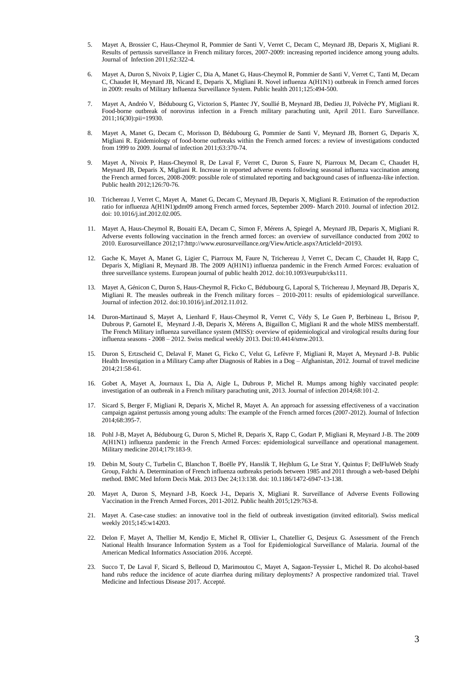- 5. Mayet A, Brossier C, Haus-Cheymol R, Pommier de Santi V, Verret C, Decam C, Meynard JB, Deparis X, Migliani R. Results of pertussis surveillance in French military forces, 2007-2009: increasing reported incidence among young adults. Journal of Infection 2011;62:322-4.
- 6. Mayet A, Duron S, Nivoix P, Ligier C, Dia A, Manet G, Haus-Cheymol R, Pommier de Santi V, Verret C, Tanti M, Decam C, Chaudet H, Meynard JB, Nicand E, Deparis X, Migliani R. Novel influenza A(H1N1) outbreak in French armed forces in 2009: results of Military Influenza Surveillance System. Public health 2011;125:494-500.
- 7. Mayet A, Andréo V, Bédubourg G, Victorion S, Plantec JY, Soullié B, Meynard JB, Dedieu JJ, Polvèche PY, Migliani R. Food-borne outbreak of norovirus infection in a French military parachuting unit, April 2011. Euro Surveillance. 2011;16(30):pii=19930.
- 8. Mayet A, Manet G, Decam C, Morisson D, Bédubourg G, Pommier de Santi V, Meynard JB, Bornert G, Deparis X, Migliani R. Epidemiology of food-borne outbreaks within the French armed forces: a review of investigations conducted from 1999 to 2009. Journal of infection 2011;63:370-74.
- 9. Mayet A, Nivoix P, Haus-Cheymol R, De Laval F, Verret C, Duron S, Faure N, Piarroux M, Decam C, Chaudet H, Meynard JB, Deparis X, Migliani R. Increase in reported adverse events following seasonal influenza vaccination among the French armed forces, 2008-2009: possible role of stimulated reporting and background cases of influenza-like infection. Public health 2012;126:70-76.
- 10. Trichereau J, Verret C, Mayet A, Manet G, Decam C, Meynard JB, Deparis X, Migliani R. Estimation of the reproduction ratio for influenza A(H1N1)pdm09 among French armed forces, September 2009- March 2010. Journal of infection 2012. doi: 10.1016/j.inf.2012.02.005.
- 11. Mayet A, Haus-Cheymol R, Bouaiti EA, Decam C, Simon F, Mérens A, Spiegel A, Meynard JB, Deparis X, Migliani R. Adverse events following vaccination in the french armed forces: an overview of surveillance conducted from 2002 to 2010. Eurosurveillance 2012;17:http://www.eurosurveillance.org/ViewArticle.aspx?ArticleId=20193.
- 12. Gache K, Mayet A, Manet G, Ligier C, Piarroux M, Faure N, Trichereau J, Verret C, Decam C, Chaudet H, Rapp C, Deparis X, Migliani R, Meynard JB. The 2009 A(H1N1) influenza pandemic in the French Armed Forces: evaluation of three surveillance systems. European journal of public health 2012. doi:10.1093/eurpub/cks111.
- 13. Mayet A, Génicon C, Duron S, Haus-Cheymol R, Ficko C, Bédubourg G, Laporal S, Trichereau J, Meynard JB, Deparis X, Migliani R. The measles outbreak in the French military forces – 2010-2011: results of epidemiological surveillance. Journal of infection 2012. doi:10.1016/j.inf.2012.11.012.
- 14. Duron-Martinaud S, Mayet A, Lienhard F, Haus-Cheymol R, Verret C, Védy S, Le Guen P, Berbineau L, Brisou P, Dubrous P, Garnotel E, Meynard J.-B, Deparis X, Mérens A, Bigaillon C, Migliani R and the whole MISS memberstaff. The French Military influenza surveillance system (MISS): overview of epidemiological and virological results during four influenza seasons - 2008 – 2012. Swiss medical weekly 2013. Doi:10.4414/smw.2013.
- 15. Duron S, Ertzscheid C, Delaval F, Manet G, Ficko C, Velut G, Lefèvre F, Migliani R, Mayet A, Meynard J-B. Public Health Investigation in a Military Camp after Diagnosis of Rabies in a Dog – Afghanistan, 2012. Journal of travel medicine 2014;21:58-61.
- 16. Gobet A, Mayet A, Journaux L, Dia A, Aigle L, Dubrous P, Michel R. Mumps among highly vaccinated people: investigation of an outbreak in a French military parachuting unit, 2013. Journal of infection 2014;68:101-2.
- 17. Sicard S, Berger F, Migliani R, Deparis X, Michel R, Mayet A. An approach for assessing effectiveness of a vaccination campaign against pertussis among young adults: The example of the French armed forces (2007-2012). Journal of Infection 2014;68:395-7.
- 18. Pohl J-B, Mayet A, Bédubourg G, Duron S, Michel R, Deparis X, Rapp C, Godart P, Migliani R, Meynard J-B. The 2009 A(H1N1) influenza pandemic in the French Armed Forces: epidemiological surveillance and operational management. Military medicine 2014;179:183-9.
- 19. Debin M, Souty C, Turbelin C, Blanchon T, Boëlle PY, Hanslik T, Hejblum G, Le Strat Y, Quintus F; DelFluWeb Study Group, Falchi A. Determination of French influenza outbreaks periods between 1985 and 2011 through a web-based Delphi method. BMC Med Inform Decis Mak. 2013 Dec 24;13:138. doi: 10.1186/1472-6947-13-138.
- 20. Mayet A, Duron S, Meynard J-B, Koeck J-L, Deparis X, Migliani R. Surveillance of Adverse Events Following Vaccination in the French Armed Forces, 2011-2012. Public health 2015;129:763-8.
- 21. Mayet A. Case-case studies: an innovative tool in the field of outbreak investigation (invited editorial). Swiss medical weekly 2015;145:w14203.
- 22. Delon F, Mayet A, Thellier M, Kendjo E, Michel R, Ollivier L, Chatellier G, Desjeux G. Assessment of the French National Health Insurance Information System as a Tool for Epidemiological Surveillance of Malaria. Journal of the American Medical Informatics Association 2016. Accepté.
- 23. Succo T, De Laval F, Sicard S, Belleoud D, Marimoutou C, Mayet A, Sagaon-Teyssier L, Michel R. Do alcohol-based hand rubs reduce the incidence of acute diarrhea during military deployments? A prospective randomized trial. Travel Medicine and Infectious Disease 2017. Accepté.